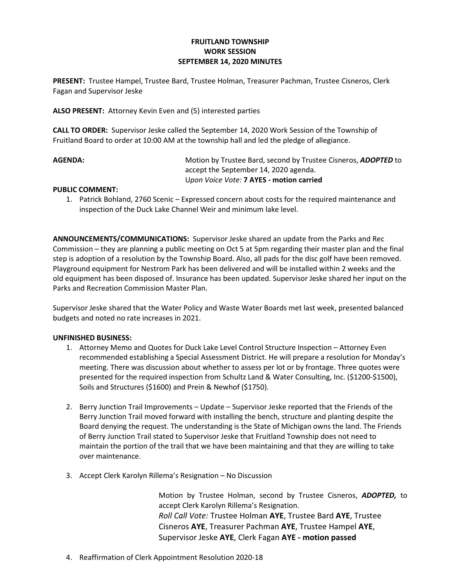## FRUITLAND TOWNSHIP WORK SESSION SEPTEMBER 14, 2020 MINUTES

PRESENT: Trustee Hampel, Trustee Bard, Trustee Holman, Treasurer Pachman, Trustee Cisneros, Clerk Fagan and Supervisor Jeske

ALSO PRESENT: Attorney Kevin Even and (5) interested parties

CALL TO ORDER: Supervisor Jeske called the September 14, 2020 Work Session of the Township of Fruitland Board to order at 10:00 AM at the township hall and led the pledge of allegiance.

AGENDA: Motion by Trustee Bard, second by Trustee Cisneros, ADOPTED to accept the September 14, 2020 agenda. Upon Voice Vote: 7 AYES - motion carried

## PUBLIC COMMENT:

1. Patrick Bohland, 2760 Scenic – Expressed concern about costs for the required maintenance and inspection of the Duck Lake Channel Weir and minimum lake level.

ANNOUNCEMENTS/COMMUNICATIONS: Supervisor Jeske shared an update from the Parks and Rec Commission – they are planning a public meeting on Oct 5 at 5pm regarding their master plan and the final step is adoption of a resolution by the Township Board. Also, all pads for the disc golf have been removed. Playground equipment for Nestrom Park has been delivered and will be installed within 2 weeks and the old equipment has been disposed of. Insurance has been updated. Supervisor Jeske shared her input on the Parks and Recreation Commission Master Plan.

Supervisor Jeske shared that the Water Policy and Waste Water Boards met last week, presented balanced budgets and noted no rate increases in 2021.

## UNFINISHED BUSINESS:

- 1. Attorney Memo and Quotes for Duck Lake Level Control Structure Inspection Attorney Even recommended establishing a Special Assessment District. He will prepare a resolution for Monday's meeting. There was discussion about whether to assess per lot or by frontage. Three quotes were presented for the required inspection from Schultz Land & Water Consulting, Inc. (\$1200-\$1500), Soils and Structures (\$1600) and Prein & Newhof (\$1750).
- 2. Berry Junction Trail Improvements Update Supervisor Jeske reported that the Friends of the Berry Junction Trail moved forward with installing the bench, structure and planting despite the Board denying the request. The understanding is the State of Michigan owns the land. The Friends of Berry Junction Trail stated to Supervisor Jeske that Fruitland Township does not need to maintain the portion of the trail that we have been maintaining and that they are willing to take over maintenance.
- 3. Accept Clerk Karolyn Rillema's Resignation No Discussion

Motion by Trustee Holman, second by Trustee Cisneros, ADOPTED, to accept Clerk Karolyn Rillema's Resignation. Roll Call Vote: Trustee Holman AYE, Trustee Bard AYE, Trustee Cisneros AYE, Treasurer Pachman AYE, Trustee Hampel AYE, Supervisor Jeske AYE, Clerk Fagan AYE - motion passed

4. Reaffirmation of Clerk Appointment Resolution 2020-18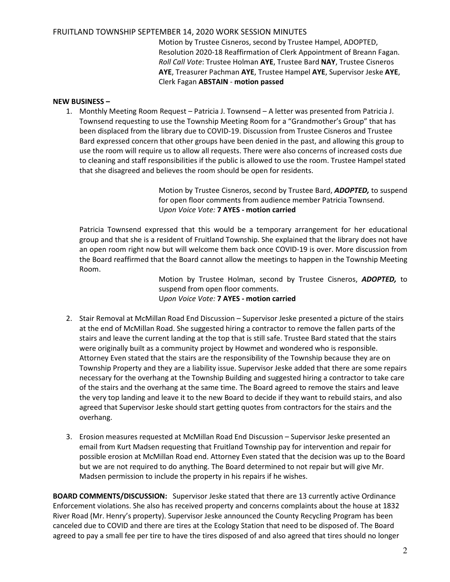## FRUITLAND TOWNSHIP SEPTEMBER 14, 2020 WORK SESSION MINUTES

Motion by Trustee Cisneros, second by Trustee Hampel, ADOPTED, Resolution 2020-18 Reaffirmation of Clerk Appointment of Breann Fagan. Roll Call Vote: Trustee Holman AYE, Trustee Bard NAY, Trustee Cisneros AYE, Treasurer Pachman AYE, Trustee Hampel AYE, Supervisor Jeske AYE, Clerk Fagan ABSTAIN - motion passed

#### NEW BUSINESS –

1. Monthly Meeting Room Request – Patricia J. Townsend – A letter was presented from Patricia J. Townsend requesting to use the Township Meeting Room for a "Grandmother's Group" that has been displaced from the library due to COVID-19. Discussion from Trustee Cisneros and Trustee Bard expressed concern that other groups have been denied in the past, and allowing this group to use the room will require us to allow all requests. There were also concerns of increased costs due to cleaning and staff responsibilities if the public is allowed to use the room. Trustee Hampel stated that she disagreed and believes the room should be open for residents.

> Motion by Trustee Cisneros, second by Trustee Bard, ADOPTED, to suspend for open floor comments from audience member Patricia Townsend. Upon Voice Vote: 7 AYES - motion carried

Patricia Townsend expressed that this would be a temporary arrangement for her educational group and that she is a resident of Fruitland Township. She explained that the library does not have an open room right now but will welcome them back once COVID-19 is over. More discussion from the Board reaffirmed that the Board cannot allow the meetings to happen in the Township Meeting Room.

> Motion by Trustee Holman, second by Trustee Cisneros, ADOPTED, to suspend from open floor comments. Upon Voice Vote: 7 AYES - motion carried

- 2. Stair Removal at McMillan Road End Discussion Supervisor Jeske presented a picture of the stairs at the end of McMillan Road. She suggested hiring a contractor to remove the fallen parts of the stairs and leave the current landing at the top that is still safe. Trustee Bard stated that the stairs were originally built as a community project by Howmet and wondered who is responsible. Attorney Even stated that the stairs are the responsibility of the Township because they are on Township Property and they are a liability issue. Supervisor Jeske added that there are some repairs necessary for the overhang at the Township Building and suggested hiring a contractor to take care of the stairs and the overhang at the same time. The Board agreed to remove the stairs and leave the very top landing and leave it to the new Board to decide if they want to rebuild stairs, and also agreed that Supervisor Jeske should start getting quotes from contractors for the stairs and the overhang.
- 3. Erosion measures requested at McMillan Road End Discussion Supervisor Jeske presented an email from Kurt Madsen requesting that Fruitland Township pay for intervention and repair for possible erosion at McMillan Road end. Attorney Even stated that the decision was up to the Board but we are not required to do anything. The Board determined to not repair but will give Mr. Madsen permission to include the property in his repairs if he wishes.

BOARD COMMENTS/DISCUSSION: Supervisor Jeske stated that there are 13 currently active Ordinance Enforcement violations. She also has received property and concerns complaints about the house at 1832 River Road (Mr. Henry's property). Supervisor Jeske announced the County Recycling Program has been canceled due to COVID and there are tires at the Ecology Station that need to be disposed of. The Board agreed to pay a small fee per tire to have the tires disposed of and also agreed that tires should no longer